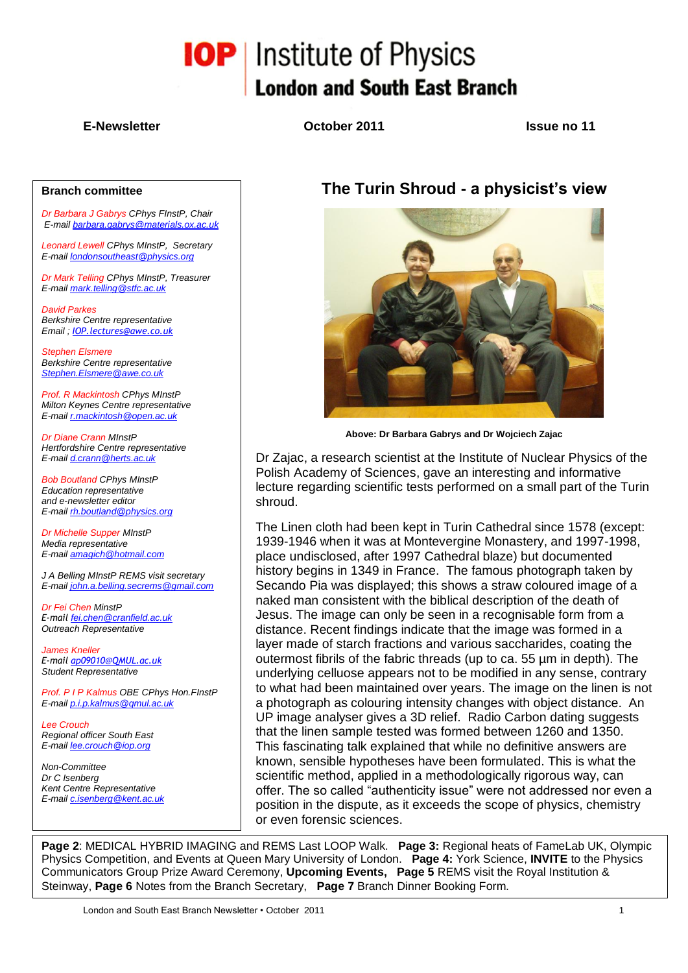# **IOP** Institute of Physics **London and South East Branch**

**E-Newsletter October 2011 Issue no 11**

#### **Branch committee**

*Dr Barbara J Gabrys CPhys FInstP, Chair E-mail [barbara.gabrys@materials.ox.ac.uk](mailto:barbara.gabrys@materials.ox.ac.uk)*

*Leonard Lewell CPhys MInstP, Secretary E-mail [londonsoutheast@physics.org](mailto:londonsoutheast@physics.org)*

*Dr Mark Telling CPhys MInstP, Treasurer E-mail [mark.telling@stfc.ac.uk](mailto:mark.telling@stfc.ac.uk)*

*David Parkes Berkshire Centre representative Email ; [IOP.lectures@awe.co.uk](mailto:IOP.lectures@awe.co.uk)*

*Stephen Elsmere Berkshire Centre representative [Stephen.Elsmere@awe.co.uk](mailto:Stephen.Elsmere@awe.co.uk)*

*Prof. R Mackintosh CPhys MInstP Milton Keynes Centre representative E-mail [r.mackintosh@open.ac.uk](mailto:r.mackintosh@open.ac.uk)*

*Dr Diane Crann MInstP Hertfordshire Centre representative E-mail [d.crann@herts.ac.uk](mailto:d.crann@herts.ac.uk)*

*Bob Boutland CPhys MInstP Education representative and e-newsletter editor E-mail [rh.boutland@physics.org](mailto:rh.boutland@physics.org)*

*Dr Michelle Supper MInstP Media representative E-mail [amagich@hotmail.com](mailto:amagich@hotmail.com)*

*J A Belling MInstP REMS visit secretary E-mail [john.a.belling.secrems@gmail.com](mailto:john.a.belling.secrems@gmail.com)*

*Dr Fei Chen MinstP E-mail [fei.chen@cranfield.ac.uk](mailto:fei.chen@cranfield.ac.uk) Outreach Representative*

*James Kneller E-mail [ap09010@QMUL.ac.uk](mailto:ap09010@QMUL.ac.uk) Student Representative*

*Prof. P I P Kalmus OBE CPhys Hon.FInstP E-mail [p.i.p.kalmus@qmul.ac.uk](mailto:p.i.p.kalmus@qmul.ac.uk)*

*Lee Crouch Regional officer South East E-mail [lee.crouch@iop.org](mailto:lee.crouch@iop.org)*

*Non-Committee Dr C Isenberg Kent Centre Representative E-mail [c.isenberg@kent.ac.uk](mailto:c.isenberg@kent.ac.uk)*

## **The Turin Shroud - a physicist's view**



**Above: Dr Barbara Gabrys and Dr Wojciech Zajac**

Dr Zajac, a research scientist at the Institute of Nuclear Physics of the Polish Academy of Sciences, gave an interesting and informative lecture regarding scientific tests performed on a small part of the Turin shroud.

The Linen cloth had been kept in Turin Cathedral since 1578 (except: 1939-1946 when it was at Montevergine Monastery, and 1997-1998, place undisclosed, after 1997 Cathedral blaze) but documented history begins in 1349 in France. The famous photograph taken by Secando Pia was displayed; this shows a straw coloured image of a naked man consistent with the biblical description of the death of Jesus. The image can only be seen in a recognisable form from a distance. Recent findings indicate that the image was formed in a layer made of starch fractions and various saccharides, coating the outermost fibrils of the fabric threads (up to ca. 55 µm in depth). The underlying celluose appears not to be modified in any sense, contrary to what had been maintained over years. The image on the linen is not a photograph as colouring intensity changes with object distance. An UP image analyser gives a 3D relief. Radio Carbon dating suggests that the linen sample tested was formed between 1260 and 1350. This fascinating talk explained that while no definitive answers are known, sensible hypotheses have been formulated. This is what the scientific method, applied in a methodologically rigorous way, can offer. The so called "authenticity issue" were not addressed nor even a position in the dispute, as it exceeds the scope of physics, chemistry or even forensic sciences.

**Page 2**: MEDICAL HYBRID IMAGING and REMS Last LOOP Walk. **Page 3:** Regional heats of FameLab UK, Olympic Physics Competition, and Events at Queen Mary University of London. **Page 4:** York Science, **INVITE** to the Physics Communicators Group Prize Award Ceremony, **Upcoming Events, Page 5** REMS visit the Royal Institution & Steinway, **Page 6** Notes from the Branch Secretary, **Page 7** Branch Dinner Booking Form.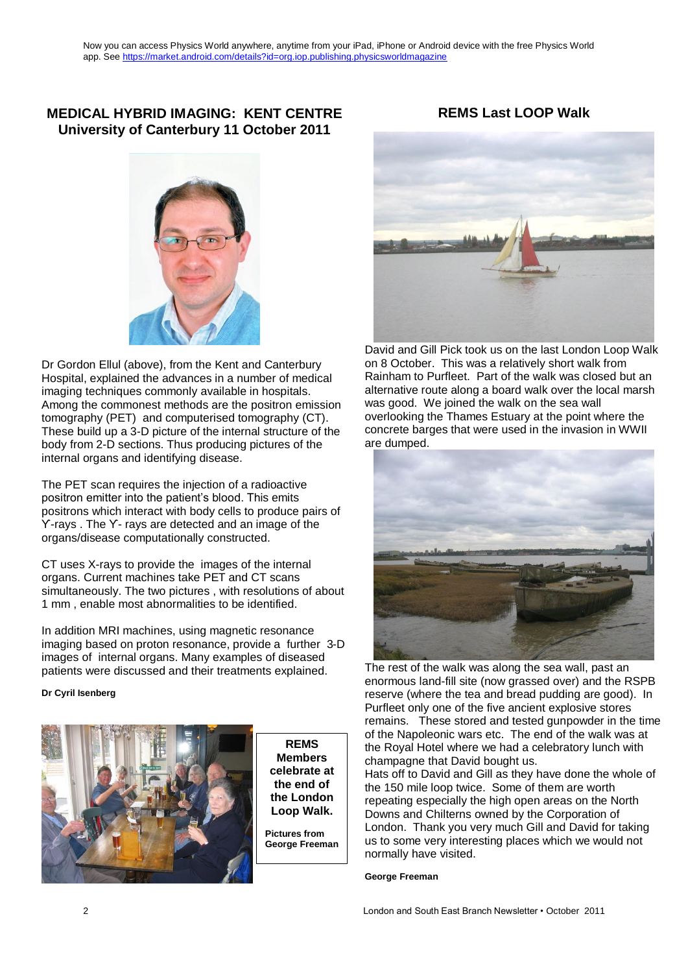#### **MEDICAL HYBRID IMAGING: KENT CENTRE University of Canterbury 11 October 2011**



Dr Gordon Ellul (above), from the Kent and Canterbury Hospital, explained the advances in a number of medical imaging techniques commonly available in hospitals. Among the commonest methods are the positron emission tomography (PET) and computerised tomography (CT). These build up a 3-D picture of the internal structure of the body from 2-D sections. Thus producing pictures of the internal organs and identifying disease.

The PET scan requires the injection of a radioactive positron emitter into the patient's blood. This emits positrons which interact with body cells to produce pairs of ϒ-rays . The ϒ- rays are detected and an image of the organs/disease computationally constructed.

CT uses X-rays to provide the images of the internal organs. Current machines take PET and CT scans simultaneously. The two pictures , with resolutions of about 1 mm , enable most abnormalities to be identified.

In addition MRI machines, using magnetic resonance imaging based on proton resonance, provide a further 3-D images of internal organs. Many examples of diseased patients were discussed and their treatments explained.

#### **Dr Cyril Isenberg**



**REMS Members celebrate at the end of the London Loop Walk.**

**Pictures from George Freeman**



**REMS Last LOOP Walk**

David and Gill Pick took us on the last London Loop Walk on 8 October. This was a relatively short walk from Rainham to Purfleet. Part of the walk was closed but an alternative route along a board walk over the local marsh was good. We joined the walk on the sea wall overlooking the Thames Estuary at the point where the concrete barges that were used in the invasion in WWII are dumped.



The rest of the walk was along the sea wall, past an enormous land-fill site (now grassed over) and the RSPB reserve (where the tea and bread pudding are good). In Purfleet only one of the five ancient explosive stores remains. These stored and tested gunpowder in the time of the Napoleonic wars etc. The end of the walk was at the Royal Hotel where we had a celebratory lunch with champagne that David bought us.

Hats off to David and Gill as they have done the whole of the 150 mile loop twice. Some of them are worth repeating especially the high open areas on the North Downs and Chilterns owned by the Corporation of London. Thank you very much Gill and David for taking us to some very interesting places which we would not normally have visited.

#### **George Freeman**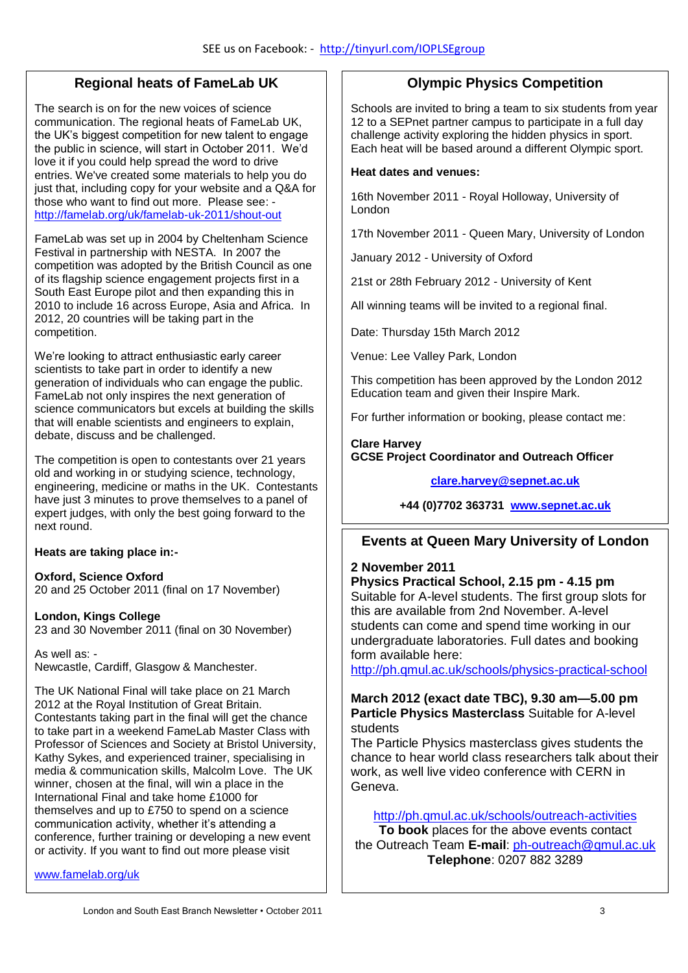#### **Regional heats of FameLab UK**

The search is on for the new voices of science communication. The regional heats of FameLab UK, the UK's biggest competition for new talent to engage the public in science, will start in October 2011. We'd love it if you could help spread the word to drive entries. We've created some materials to help you do just that, including copy for your website and a Q&A for those who want to find out more. Please see: <http://famelab.org/uk/famelab-uk-2011/shout-out>

FameLab was set up in 2004 by Cheltenham Science Festival in partnership with NESTA. In 2007 the competition was adopted by the British Council as one of its flagship science engagement projects first in a South East Europe pilot and then expanding this in 2010 to include 16 across Europe, Asia and Africa. In 2012, 20 countries will be taking part in the competition.

We're looking to attract enthusiastic early career scientists to take part in order to identify a new generation of individuals who can engage the public. FameLab not only inspires the next generation of science communicators but excels at building the skills that will enable scientists and engineers to explain, debate, discuss and be challenged.

The competition is open to contestants over 21 years old and working in or studying science, technology, engineering, medicine or maths in the UK. Contestants have just 3 minutes to prove themselves to a panel of expert judges, with only the best going forward to the next round.

#### **Heats are taking place in:-**

**Oxford, Science Oxford** 20 and 25 October 2011 (final on 17 November)

#### **London, Kings College**

23 and 30 November 2011 (final on 30 November)

As well as: -

Newcastle, Cardiff, Glasgow & Manchester.

The UK National Final will take place on 21 March 2012 at the Royal Institution of Great Britain. Contestants taking part in the final will get the chance to take part in a weekend FameLab Master Class with Professor of Sciences and Society at Bristol University, Kathy Sykes, and experienced trainer, specialising in media & communication skills, Malcolm Love. The UK winner, chosen at the final, will win a place in the International Final and take home £1000 for themselves and up to £750 to spend on a science communication activity, whether it's attending a conference, further training or developing a new event or activity. If you want to find out more please visit

[www.famelab.org/uk](http://www.famelab.org/uk)

#### **Olympic Physics Competition**

Schools are invited to bring a team to six students from year 12 to a SEPnet partner campus to participate in a full day challenge activity exploring the hidden physics in sport. Each heat will be based around a different Olympic sport.

#### **Heat dates and venues:**

16th November 2011 - Royal Holloway, University of London

17th November 2011 - Queen Mary, University of London

January 2012 - University of Oxford

21st or 28th February 2012 - University of Kent

All winning teams will be invited to a regional final.

Date: Thursday 15th March 2012

Venue: Lee Valley Park, London

This competition has been approved by the London 2012 Education team and given their Inspire Mark.

For further information or booking, please contact me:

**Clare Harvey GCSE Project Coordinator and Outreach Officer**

**[clare.harvey@sepnet.ac.uk](mailto:clare.harvey@sepnet.ac.uk)**

**+44 (0)7702 363731 [www.sepnet.ac.uk](http://www.sepnet.ac.uk/)**

#### **Events at Queen Mary University of London**

#### **2 November 2011**

**Physics Practical School, 2.15 pm - 4.15 pm**

Suitable for A-level students. The first group slots for this are available from 2nd November. A-level students can come and spend time working in our undergraduate laboratories. Full dates and booking form available here:

<http://ph.qmul.ac.uk/schools/physics-practical-school>

#### **March 2012 (exact date TBC), 9.30 am—5.00 pm Particle Physics Masterclass** Suitable for A-level students

The Particle Physics masterclass gives students the chance to hear world class researchers talk about their work, as well live video conference with CERN in Geneva.

<http://ph.qmul.ac.uk/schools/outreach-activities>

**To book** places for the above events contact the Outreach Team **E-mail**: [ph-outreach@qmul.ac.uk](mailto:ph-outreach@qmul.ac.uk) **Telephone**: 0207 882 3289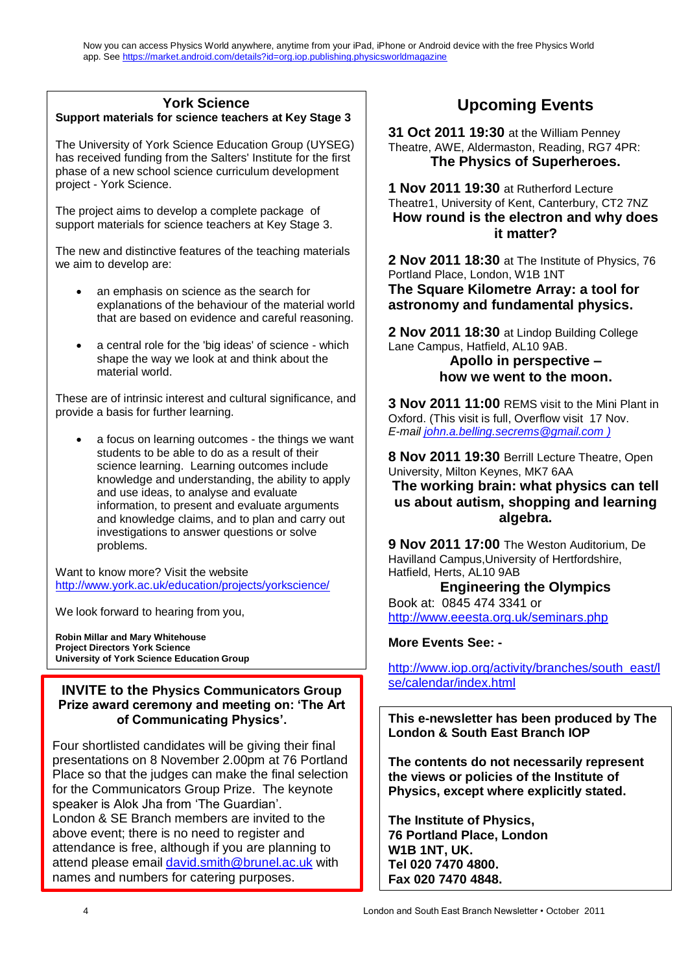### **York Science**

**Support materials for science teachers at Key Stage 3**

The University of York Science Education Group (UYSEG) has received funding from the Salters' Institute for the first phase of a new school science curriculum development project - York Science.

The project aims to develop a complete package of support materials for science teachers at Key Stage 3.

The new and distinctive features of the teaching materials we aim to develop are:

- an emphasis on science as the search for explanations of the behaviour of the material world that are based on evidence and careful reasoning.
- a central role for the 'big ideas' of science which shape the way we look at and think about the material world.

These are of intrinsic interest and cultural significance, and provide a basis for further learning.

 a focus on learning outcomes - the things we want students to be able to do as a result of their science learning. Learning outcomes include knowledge and understanding, the ability to apply and use ideas, to analyse and evaluate information, to present and evaluate arguments and knowledge claims, and to plan and carry out investigations to answer questions or solve problems.

Want to know more? Visit the website <http://www.york.ac.uk/education/projects/yorkscience/>

We look forward to hearing from you,

**Robin Millar and Mary Whitehouse Project Directors York Science University of York Science Education Group**

#### **INVITE to the Physics Communicators Group Prize award ceremony and meeting on: 'The Art of Communicating Physics'.**

Four shortlisted candidates will be giving their final presentations on 8 November 2.00pm at 76 Portland Place so that the judges can make the final selection for the Communicators Group Prize. The keynote speaker is Alok Jha from 'The Guardian'. London & SE Branch members are invited to the above event; there is no need to register and attendance is free, although if you are planning to attend please email [david.smith@brunel.ac.uk](mailto:david.smith@brunel.ac.uk) with names and numbers for catering purposes.

# **Upcoming Events**

**31 Oct 2011 19:30** at the William Penney Theatre, AWE, Aldermaston, Reading, RG7 4PR: **The Physics of Superheroes.**

**1 Nov 2011 19:30** at Rutherford Lecture Theatre1, University of Kent, Canterbury, CT2 7NZ **How round is the electron and why does it matter?**

**2 Nov 2011 18:30** at The Institute of Physics, 76 Portland Place, London, W1B 1NT **The Square Kilometre Array: a tool for astronomy and fundamental physics.**

**2 Nov 2011 18:30** at Lindop Building College Lane Campus, Hatfield, AL10 9AB.

#### **Apollo in perspective – how we went to the moon.**

**3 Nov 2011 11:00** REMS visit to the Mini Plant in Oxford. (This visit is full, Overflow visit 17 Nov. *E-mail [john.a.belling.secrems@gmail.com](mailto:john.a.belling.secrems@gmail.com) )*

**8 Nov 2011 19:30** Berrill Lecture Theatre, Open University, Milton Keynes, MK7 6AA

#### **The working brain: what physics can tell us about autism, shopping and learning algebra.**

**9 Nov 2011 17:00** The Weston Auditorium, De Havilland Campus,University of Hertfordshire, Hatfield, Herts, AL10 9AB

**Engineering the Olympics** Book at: 0845 474 3341 or

<http://www.eeesta.org.uk/seminars.php>

#### **More Events See: -**

[http://www.iop.org/activity/branches/south\\_east/l](http://www.iop.org/activity/branches/south_east/lse/calendar/index.html) [se/calendar/index.html](http://www.iop.org/activity/branches/south_east/lse/calendar/index.html)

**This e-newsletter has been produced by The London & South East Branch IOP** 

**The contents do not necessarily represent the views or policies of the Institute of Physics, except where explicitly stated.** 

**The Institute of Physics, 76 Portland Place, London W1B 1NT, UK. Tel 020 7470 4800. Fax 020 7470 4848.**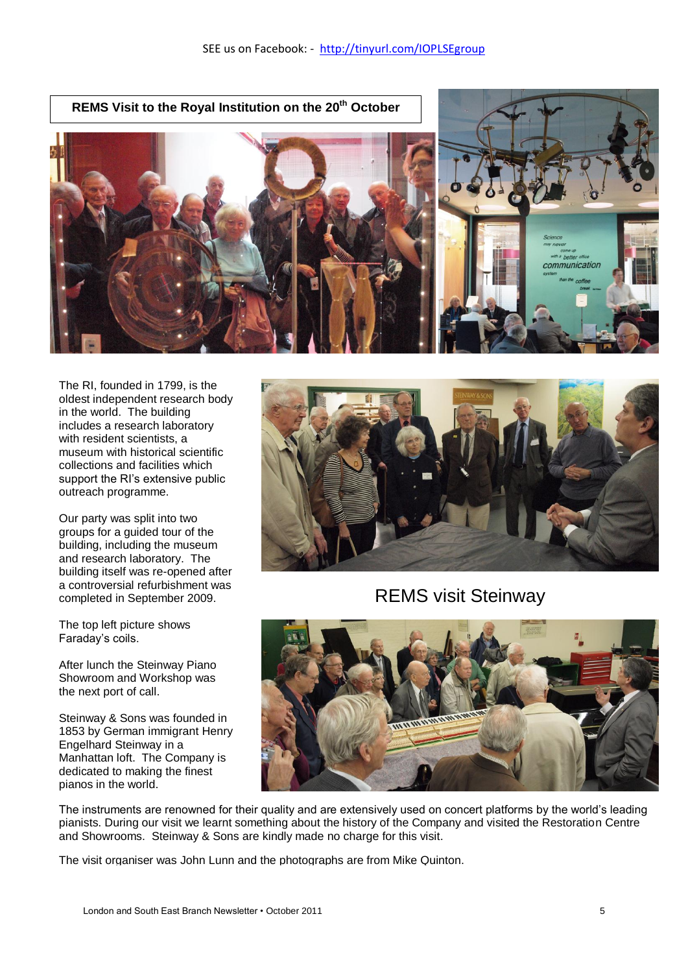**REMS Visit to the Royal Institution on the 20th October** communication

The RI, founded in 1799, is the oldest independent research body in the world. The building includes a research laboratory with resident scientists, a museum with historical scientific collections and facilities which support the RI's extensive public outreach programme.

Our party was split into two groups for a guided tour of the building, including the museum and research laboratory. The building itself was re-opened after a controversial refurbishment was completed in September 2009.

The top left picture shows Faraday's coils.

After lunch the Steinway Piano Showroom and Workshop was the next port of call.

Steinway & Sons was founded in 1853 by German immigrant Henry Engelhard Steinway in a Manhattan loft. The Company is dedicated to making the finest pianos in the world.



REMS visit Steinway



The instruments are renowned for their quality and are extensively used on concert platforms by the world's leading pianists. During our visit we learnt something about the history of the Company and visited the Restoration Centre and Showrooms. Steinway & Sons are kindly made no charge for this visit.

The visit organiser was John Lunn and the photographs are from Mike Quinton.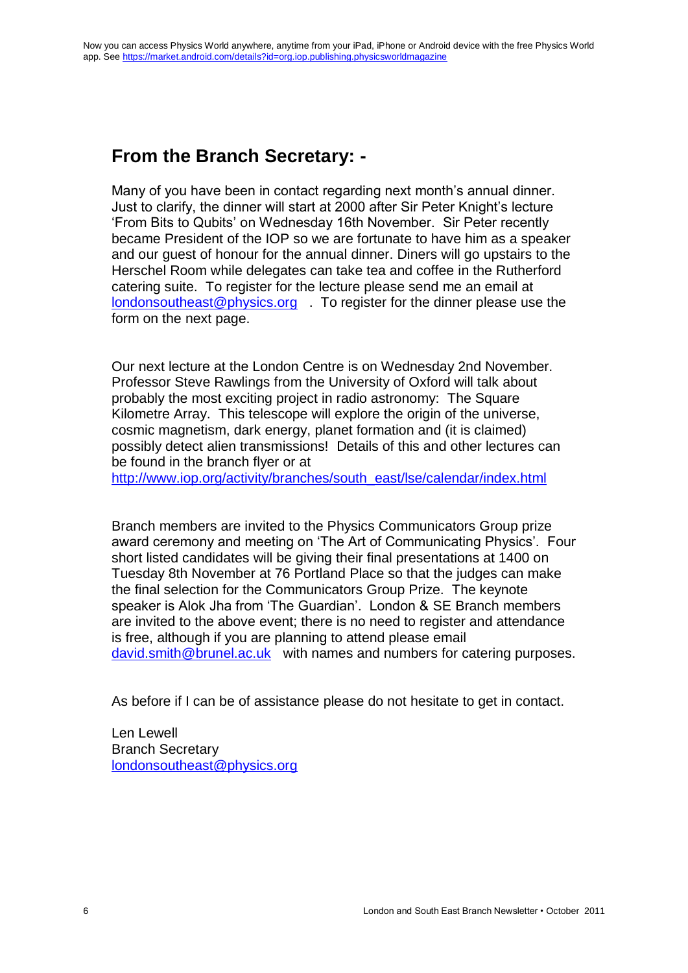# **From the Branch Secretary: -**

Many of you have been in contact regarding next month's annual dinner. Just to clarify, the dinner will start at 2000 after Sir Peter Knight's lecture 'From Bits to Qubits' on Wednesday 16th November. Sir Peter recently became President of the IOP so we are fortunate to have him as a speaker and our guest of honour for the annual dinner. Diners will go upstairs to the Herschel Room while delegates can take tea and coffee in the Rutherford catering suite. To register for the lecture please send me an email at [londonsoutheast@physics.org](mailto:londonsoutheast@physics.org) . To register for the dinner please use the form on the next page.

Our next lecture at the London Centre is on Wednesday 2nd November. Professor Steve Rawlings from the University of Oxford will talk about probably the most exciting project in radio astronomy: The Square Kilometre Array. This telescope will explore the origin of the universe, cosmic magnetism, dark energy, planet formation and (it is claimed) possibly detect alien transmissions! Details of this and other lectures can be found in the branch flyer or at

[http://www.iop.org/activity/branches/south\\_east/lse/calendar/index.html](http://www.iop.org/activity/branches/south_east/lse/calendar/index.html)

Branch members are invited to the Physics Communicators Group prize award ceremony and meeting on 'The Art of Communicating Physics'. Four short listed candidates will be giving their final presentations at 1400 on Tuesday 8th November at 76 Portland Place so that the judges can make the final selection for the Communicators Group Prize. The keynote speaker is Alok Jha from 'The Guardian'. London & SE Branch members are invited to the above event; there is no need to register and attendance is free, although if you are planning to attend please email [david.smith@brunel.ac.uk](mailto:david.smith@brunel.ac.uk) with names and numbers for catering purposes.

As before if I can be of assistance please do not hesitate to get in contact.

Len Lewell Branch Secretary [londonsoutheast@physics.org](mailto:londonsoutheast@physics.org)